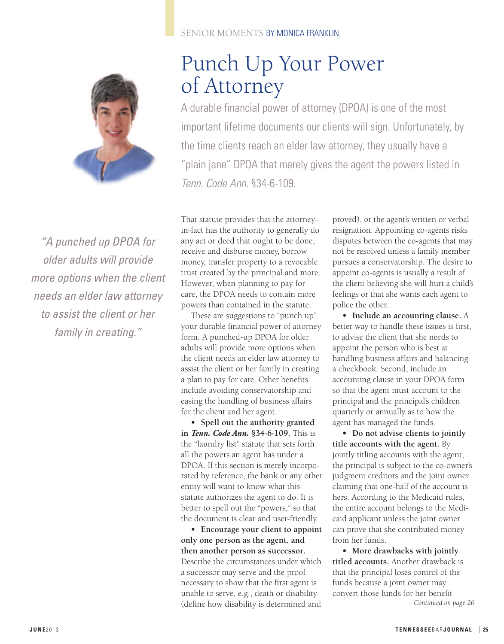

*"A punched up DPOA for older adults will provide more options when the client needs an elder law attorney to assist the client or her family in creating."*

### SENIOR MOMENTS BY MONICA FRANKLIN

# Punch Up Your Power of Attorney

A durable financial power of attorney (DPOA) is one of the most important lifetime documents our clients will sign. Unfortunately, by the time clients reach an elder law attorney, they usually have a "plain jane" DPOA that merely gives the agent the powers listed in *Tenn. Code Ann.* §34-6-109.

That statute provides that the attorneyin-fact has the authority to generally do any act or deed that ought to be done, receive and disburse money, borrow money, transfer property to a revocable trust created by the principal and more. However, when planning to pay for care, the DPOA needs to contain more powers than contained in the statute.

These are suggestions to "punch up" your durable financial power of attorney form. A punched-up DPOA for older adults will provide more options when the client needs an elder law attorney to assist the client or her family in creating a plan to pay for care. Other benefits include avoiding conservatorship and easing the handling of business affairs for the client and her agent.

**• Spell out the authority granted in** *Tenn. Code Ann.* **§34-6-109.** This is the "laundry list" statute that sets forth all the powers an agent has under a DPOA. If this section is merely incorporated by reference, the bank or any other entity will want to know what this statute authorizes the agent to do. It is better to spell out the "powers," so that the document is clear and user-friendly.

**• Encourage your client to appoint only one person as the agent, and then another person as successor.** Describe the circumstances under which a successor may serve and the proof necessary to show that the first agent is unable to serve, e.g., death or disability (define how disability is determined and

proved), or the agent's written or verbal resignation. Appointing co-agents risks disputes between the co-agents that may not be resolved unless a family member pursues a conservatorship. The desire to appoint co-agents is usually a result of the client believing she will hurt a child's feelings or that she wants each agent to police the other.

**• Include an accounting clause.** A better way to handle these issues is first, to advise the client that she needs to appoint the person who is best at handling business affairs and balancing a checkbook. Second, include an accounting clause in your DPOA form so that the agent must account to the principal and the principal's children quarterly or annually as to how the agent has managed the funds.

**• Do not advise clients to jointly title accounts with the agent.** By jointly titling accounts with the agent, the principal is subject to the co-owner's judgment creditors and the joint owner claiming that one-half of the account is hers. According to the Medicaid rules, the entire account belongs to the Medicaid applicant unless the joint owner can prove that she contributed money from her funds.

**• More drawbacks with jointly titled accounts.** Another drawback is that the principal loses control of the funds because a joint owner may convert those funds for her benefit *Continued on page 26*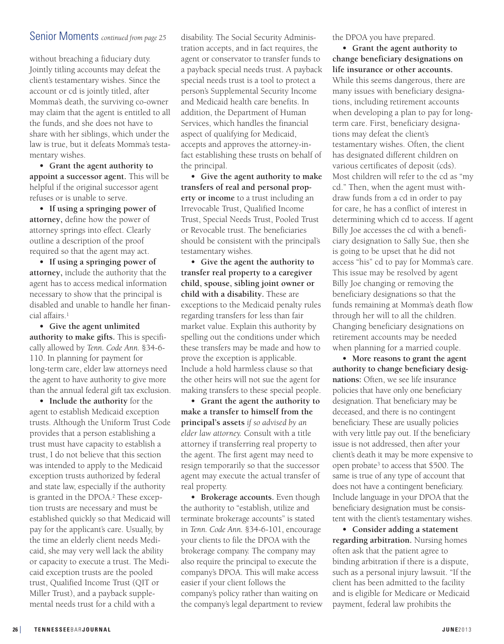## Senior Moments *continued from page <sup>25</sup>*

without breaching a fiduciary duty. Jointly titling accounts may defeat the client's testamentary wishes. Since the account or cd is jointly titled, after Momma's death, the surviving co-owner may claim that the agent is entitled to all the funds, and she does not have to share with her siblings, which under the law is true, but it defeats Momma's testamentary wishes.

**• Grant the agent authority to appoint a successor agent.** This will be helpful if the original successor agent refuses or is unable to serve.

**• If using a springing power of attorney,** define how the power of attorney springs into effect. Clearly outline a description of the proof required so that the agent may act.

**• If using a springing power of attorney,** include the authority that the agent has to access medical information necessary to show that the principal is disabled and unable to handle her financial affairs. 1

**• Give the agent unlimited authority to make gifts.** This is specifically allowed by *Tenn. Code Ann.* §34-6- 110. In planning for payment for long-term care, elder law attorneys need the agent to have authority to give more than the annual federal gift tax exclusion.

**• Include the authority** for the agent to establish Medicaid exception trusts. Although the Uniform Trust Code provides that a person establishing a trust must have capacity to establish a trust, I do not believe that this section was intended to apply to the Medicaid exception trusts authorized by federal and state law, especially if the authority is granted in the DPOA. <sup>2</sup> These exception trusts are necessary and must be established quickly so that Medicaid will pay for the applicant's care. Usually, by the time an elderly client needs Medicaid, she may very well lack the ability or capacity to execute a trust. The Medicaid exception trusts are the pooled trust, Qualified Income Trust (QIT or Miller Trust), and a payback supplemental needs trust for a child with a

disability. The Social Security Administration accepts, and in fact requires, the agent or conservator to transfer funds to a payback special needs trust. A payback special needs trust is a tool to protect a person's Supplemental Security Income and Medicaid health care benefits. In addition, the Department of Human Services, which handles the financial aspect of qualifying for Medicaid, accepts and approves the attorney-infact establishing these trusts on behalf of the principal.

**• Give the agent authority to make transfers of real and personal property or income** to a trust including an Irrevocable Trust, Qualified Income Trust, Special Needs Trust, Pooled Trust or Revocable trust. The beneficiaries should be consistent with the principal's testamentary wishes.

**• Give the agent the authority to transfer real property to a caregiver child, spouse, sibling joint owner or child with a disability.** These are exceptions to the Medicaid penalty rules regarding transfers for less than fair market value. Explain this authority by spelling out the conditions under which these transfers may be made and how to prove the exception is applicable. Include a hold harmless clause so that the other heirs will not sue the agent for making transfers to these special people.

**• Grant the agent the authority to make a transfer to himself from the principal's assets** *if so advised by an elder law attorney.* Consult with a title attorney if transferring real property to the agent. The first agent may need to resign temporarily so that the successor agent may execute the actual transfer of real property.

**• Brokerage accounts.** Even though the authority to "establish, utilize and terminate brokerage accounts" is stated in *Tenn. Code Ann.* §34-6-101, encourage your clients to file the DPOA with the brokerage company. The company may also require the principal to execute the company's DPOA. This will make access easier if your client follows the company's policy rather than waiting on the company's legal department to review the DPOA you have prepared.

**• Grant the agent authority to change beneficiary designations on life insurance or other accounts.** While this seems dangerous, there are many issues with beneficiary designations, including retirement accounts when developing a plan to pay for longterm care. First, beneficiary designations may defeat the client's testamentary wishes. Often, the client has designated different children on various certificates of deposit (cds). Most children will refer to the cd as "my cd." Then, when the agent must withdraw funds from a cd in order to pay for care, he has a conflict of interest in determining which cd to access. If agent Billy Joe accesses the cd with a beneficiary designation to Sally Sue, then she is going to be upset that he did not access "his" cd to pay for Momma's care. This issue may be resolved by agent Billy Joe changing or removing the beneficiary designations so that the funds remaining at Momma's death flow through her will to all the children. Changing beneficiary designations on retirement accounts may be needed when planning for a married couple.

**• More reasons to grant the agent authority to change beneficiary designations:** Often, we see life insurance policies that have only one beneficiary designation. That beneficiary may be deceased, and there is no contingent beneficiary. These are usually policies with very little pay out. If the beneficiary issue is not addressed, then after your client's death it may be more expensive to open probate3 to access that \$500. The same is true of any type of account that does not have a contingent beneficiary. Include language in your DPOA that the beneficiary designation must be consistent with the client's testamentary wishes.

**• Consider adding a statement regarding arbitration.** Nursing homes often ask that the patient agree to binding arbitration if there is a dispute, such as a personal injury lawsuit. "If the client has been admitted to the facility and is eligible for Medicare or Medicaid payment, federal law prohibits the